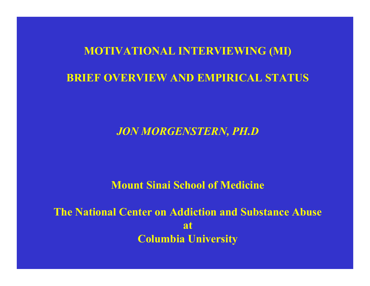#### **MOTIVATIONAL INTERVIEWING (MI)**

#### **BRIEF OVERVIEW AND EMPIRICAL STATUS**

### *JON MORGENSTERN, PH.D*

#### **Mount Sinai School of Medicine**

**The National Center on Addiction and Substance Abuse atColumbia University**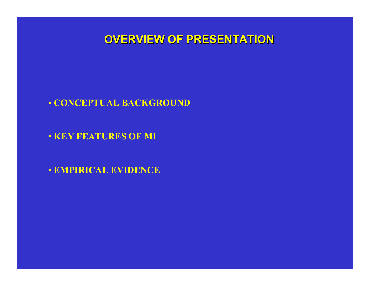## **OVERVIEW OF PRESENT OVERVIEW OF PRESENTATION**

- **CONCEPTUAL BACKGROUND**
- **KEY FEATU RES OF M I**
- **EMPIR ICAL EVIDENCE**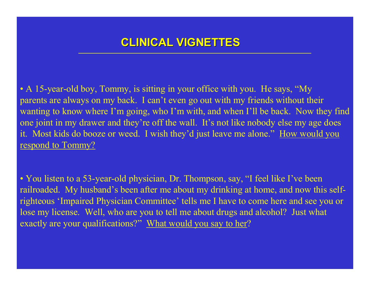# **CLINICAL VIGNETTES CLINICAL VIGNETTES**

• A 15-year-old boy, Tommy, is sitting in your office with you. He says, "My parents are always on my back. I can't even go out with my friends without their wanting to know where I'm going, who I'm with, and when I'll be back. Now they find one joint in my drawer and they're off the wall. It's not like nobody else my age does it. Most kids do booze or weed. I wish they'd just leave me alone." <u>How would you</u> <u>respond to Tommy?</u>

• You listen to a 53-year-old physician, Dr. Thompson, say, "I feel like I've been railroaded. My husband's been after me about my drinking at home, and now this selfrighteous 'Impaired Physician Committee' tells me I have to come here and see you or lose my license. Well, who are you to tell me about drugs and alcohol? Just what exactly are your qualifications? <u>" What would you say to her</u>?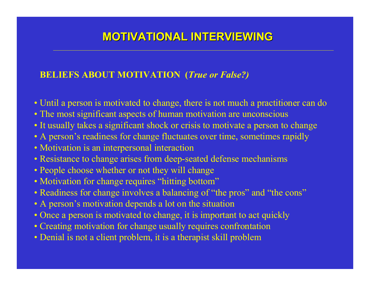# **MOTIVATIONAL INTERVIEWING VATIONAL INTERVIEWING**

#### **BELIEFS ABOUT MOTIVATION (***True or False?)*

- Until a person is motivated to change, there is not much a practitioner can do
- The most significant aspects of human motivation are unconscious
- It usually takes a significant shock or crisis to motivate a person to change
- A person's readiness for change fluctuates over time, sometimes rapidly
- Motivation is an interpersonal interaction
- Resistance to change arises from deep-seated defense mechanisms
- People choose whether or not they will change
- Motivation for change requires "hitting bottom"
- Readiness for change involves a balancing of "the pros" and "the cons"
- A person's motivation depends a lot on the situation
- Once a person is motivated to change, it is important to act quickly
- Creating motivation for change usually requires confrontation
- Denial is not a client problem, it is a therapist skill problem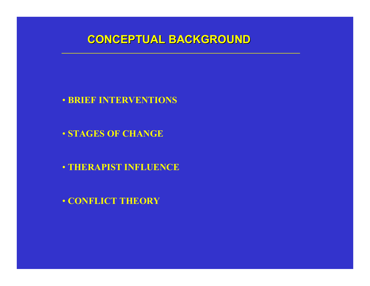### **CONCEPTUAL BACKGROUND CONCEPTUAL BACKGROUND**

- **BRIEF INTERVENTIONS**
- **STAGES OF CHANGE**
- **THERAPIST INFLUENCE**
- **CONFLICT THEORY**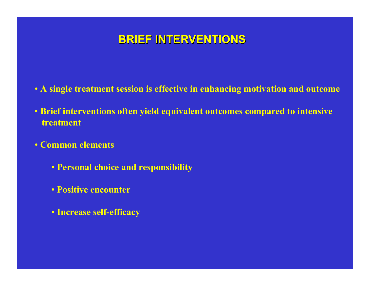# **BRIEF INTERVENTIONS BRIEF INTERVENTIONS**

- **A single treatment session is effective in enhancing motivation and outcome**
- Brief interventions often yield equivalent outcomes compared to intensive **treatment**
- **Common elements**
	- **Personal choice and responsibility**
	- **Positive encounter**
	- **Increase self-efficacy**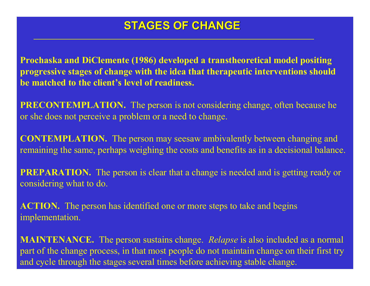### **STAGES OF CHANGE STAGES OF CHANGE**

**Prochaska and DiClemente (1986) developed a transtheoretical model positing progressive stages of change with the idea that therapeutic interventions should be matched to the client's level of readiness.**

**PRECONTEMPLATION.** The person is not considering change, often because he or she does not perceive a problem or a need to change.

**CONTEMPLATION.** The person may seesaw ambivalently between changing and remaining the same, perhaps weighing the costs and benefits as in a decisional balance.

**PREPARATION.** The person is clear that a change is needed and is getting ready or considering what to do.

**ACTION.** The person has identified one or more steps to take and begins implementation.

**MAINTENANCE.** The person sustains change. *Relapse* is also included as a normal par<sup>t</sup> of the change process, in that most people do not maintain change on their first try and cycle through the stages several times before achieving stable change.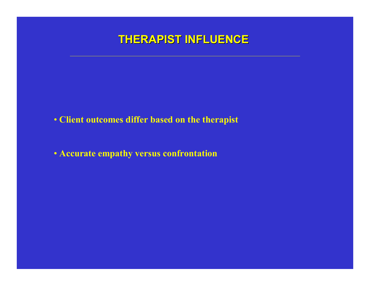## **THERAPIST INFLUENCE THERAPIST INFLUENCE**

- **Client outcomes differ based on the therapist**
- Accurate empathy versus confrontation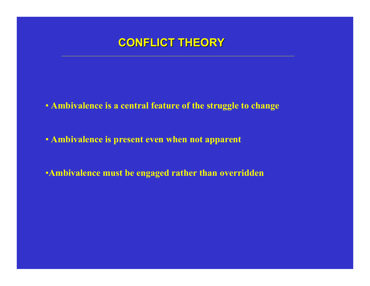

- **Ambi v a l ence i s a central feat ure of the s truggle to change**
- **Ambivalence is present even when not apparent**
- •**Ambivalence mus t be engaged rather than overridden**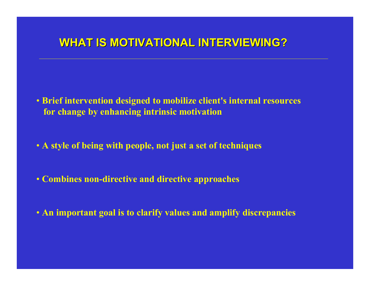# **WHAT IS MOTIVATIONAL INTERVIEWING?**

- **Brief intervention designed to mobilize client's internal resources for change by enhancing intrinsic motivation**
- **A style of being with people, not just a set of techniques**
- **Combines non-directive and directive approaches**
- **An important goal is to clarify values and amplify discrepancies**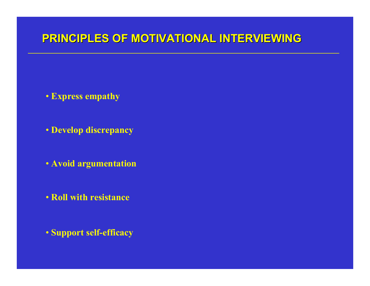## **PRINCIPLES OF PRINCIPLES OF MOTIVATIONAL INTERVIEWING TIVATIONAL INTERVIEWING**

- **Express empathy**
- **Develop discrepancy**
- **Avoid argumentation**
- **Roll with resistance**

• **Support self-efficacy**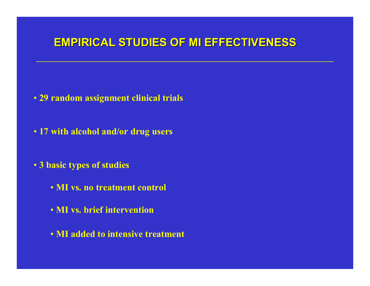## **EMPIRICAL STUDIES OF EMPIRICAL STUDIES OF MI EFFECTIVENESS FFECTIVENESS**

- **29 rando m assignment clini c a l t r i als**
- **17 wit h alcohol a nd/o r d rug users**
- **3 b a s i c ty p es o f studies** 
	- **MI vs. no tre atment control**
	- **MI vs. brief intervention**
	- **MI added to i ntensi ve treatment**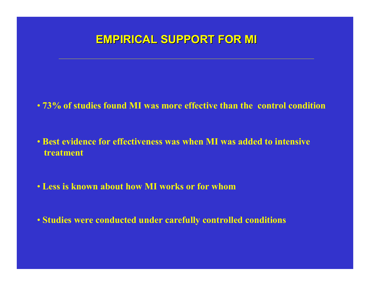# **EMPIRICAL SUPPORT FOR MI EMPIRICAL SUPPORT FOR MI**

• 73% of studies found MI was more effective than the control condition

- **Best evi dence for effectiveness was when MI was added tointensive treatment**
- **Less is kno wn about how MI works o r for whom**
- **Studies were conducted under carefully controlled conditions**